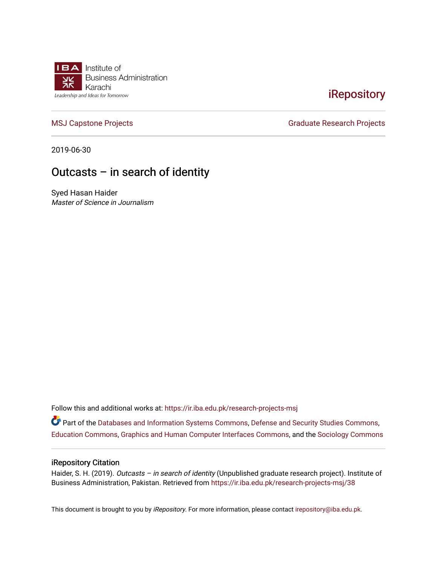

## **iRepository**

[MSJ Capstone Projects](https://ir.iba.edu.pk/research-projects-msj) **Graduate Research Projects** Graduate Research Projects

2019-06-30

### Outcasts – in search of identity

Syed Hasan Haider Master of Science in Journalism

Follow this and additional works at: [https://ir.iba.edu.pk/research-projects-msj](https://ir.iba.edu.pk/research-projects-msj?utm_source=ir.iba.edu.pk%2Fresearch-projects-msj%2F38&utm_medium=PDF&utm_campaign=PDFCoverPages)

Part of the [Databases and Information Systems Commons](http://network.bepress.com/hgg/discipline/145?utm_source=ir.iba.edu.pk%2Fresearch-projects-msj%2F38&utm_medium=PDF&utm_campaign=PDFCoverPages), [Defense and Security Studies Commons,](http://network.bepress.com/hgg/discipline/394?utm_source=ir.iba.edu.pk%2Fresearch-projects-msj%2F38&utm_medium=PDF&utm_campaign=PDFCoverPages) [Education Commons,](http://network.bepress.com/hgg/discipline/784?utm_source=ir.iba.edu.pk%2Fresearch-projects-msj%2F38&utm_medium=PDF&utm_campaign=PDFCoverPages) [Graphics and Human Computer Interfaces Commons](http://network.bepress.com/hgg/discipline/146?utm_source=ir.iba.edu.pk%2Fresearch-projects-msj%2F38&utm_medium=PDF&utm_campaign=PDFCoverPages), and the [Sociology Commons](http://network.bepress.com/hgg/discipline/416?utm_source=ir.iba.edu.pk%2Fresearch-projects-msj%2F38&utm_medium=PDF&utm_campaign=PDFCoverPages)

#### iRepository Citation

Haider, S. H. (2019). Outcasts - in search of identity (Unpublished graduate research project). Institute of Business Administration, Pakistan. Retrieved from [https://ir.iba.edu.pk/research-projects-msj/38](https://ir.iba.edu.pk/research-projects-msj/38?utm_source=ir.iba.edu.pk%2Fresearch-projects-msj%2F38&utm_medium=PDF&utm_campaign=PDFCoverPages) 

This document is brought to you by iRepository. For more information, please contact [irepository@iba.edu.pk](mailto:irepository@iba.edu.pk).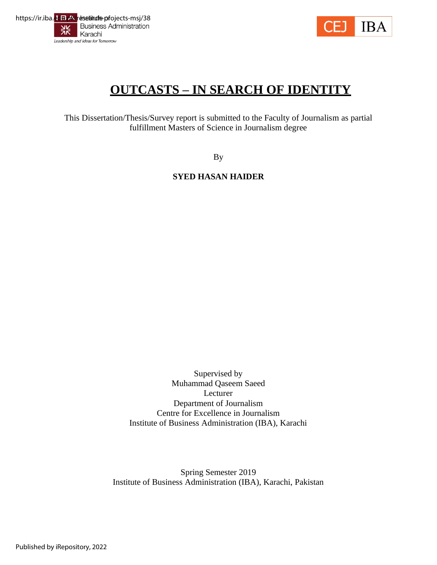



# **OUTCASTS – IN SEARCH OF IDENTITY**

This Dissertation/Thesis/Survey report is submitted to the Faculty of Journalism as partial fulfillment Masters of Science in Journalism degree

By

**SYED HASAN HAIDER**

Supervised by Muhammad Qaseem Saeed Lecturer Department of Journalism Centre for Excellence in Journalism Institute of Business Administration (IBA), Karachi

Spring Semester 2019 Institute of Business Administration (IBA), Karachi, Pakistan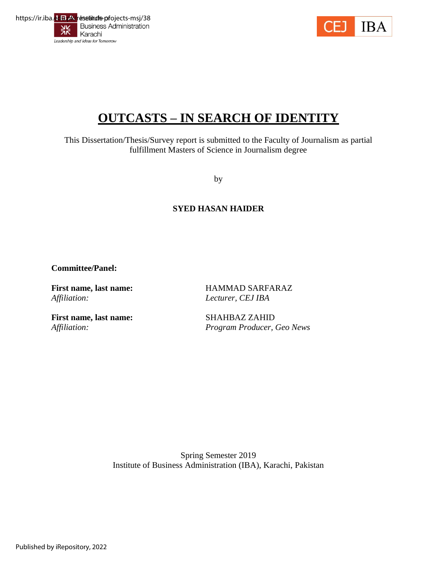



# **OUTCASTS – IN SEARCH OF IDENTITY**

This Dissertation/Thesis/Survey report is submitted to the Faculty of Journalism as partial fulfillment Masters of Science in Journalism degree

by

#### **SYED HASAN HAIDER**

**Committee/Panel:**

**First name, last name:** HAMMAD SARFARAZ *Affiliation: Lecturer, CEJ IBA*

**First name, last name:** SHAHBAZ ZAHID

*Affiliation: Program Producer, Geo News*

Spring Semester 2019 Institute of Business Administration (IBA), Karachi, Pakistan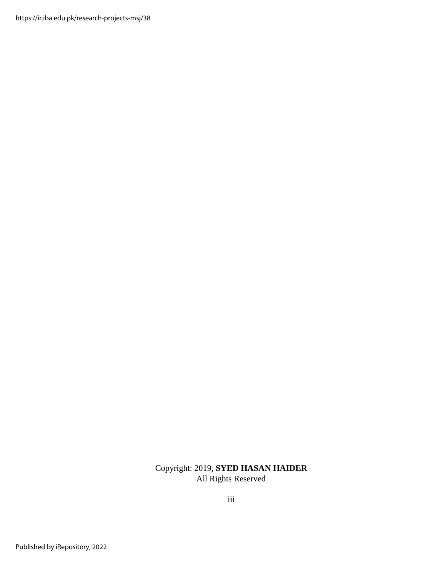https://ir.iba.edu.pk/research-projects-msj/38

#### Copyright: 2019**, SYED HASAN HAIDER** All Rights Reserved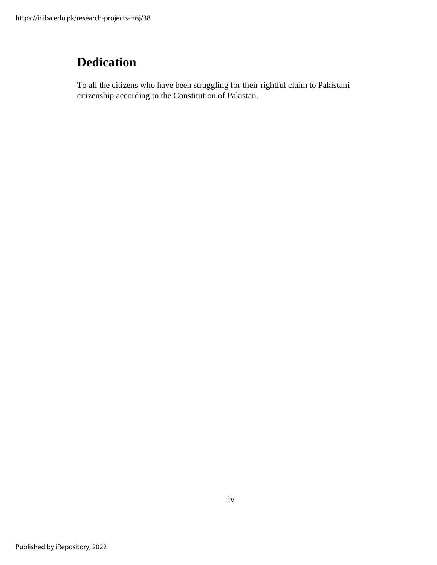# <span id="page-4-0"></span>**Dedication**

To all the citizens who have been struggling for their rightful claim to Pakistani citizenship according to the Constitution of Pakistan.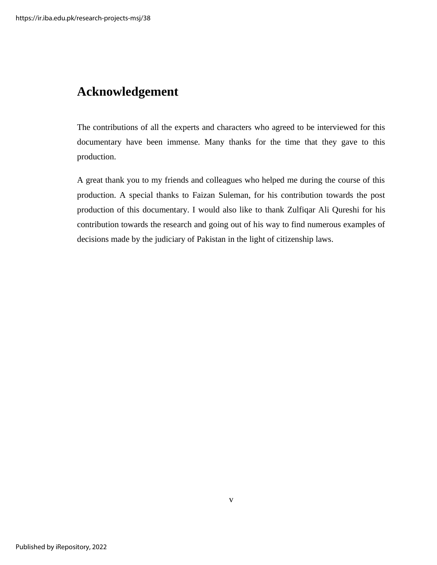## <span id="page-5-0"></span>**Acknowledgement**

The contributions of all the experts and characters who agreed to be interviewed for this documentary have been immense. Many thanks for the time that they gave to this production.

A great thank you to my friends and colleagues who helped me during the course of this production. A special thanks to Faizan Suleman, for his contribution towards the post production of this documentary. I would also like to thank Zulfiqar Ali Qureshi for his contribution towards the research and going out of his way to find numerous examples of decisions made by the judiciary of Pakistan in the light of citizenship laws.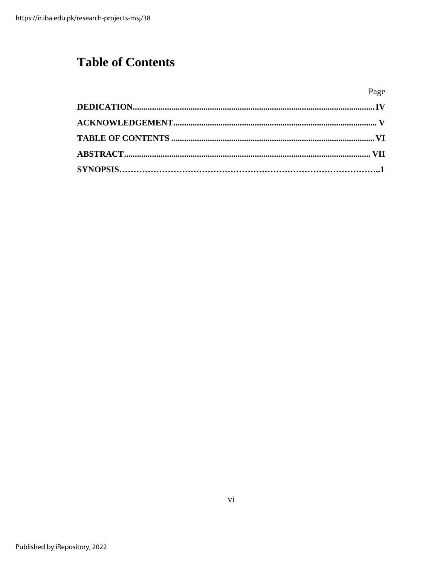# <span id="page-6-0"></span>**Table of Contents**

Page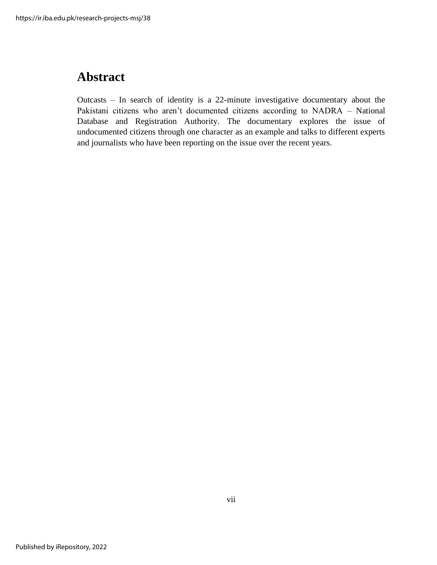## <span id="page-7-0"></span>**Abstract**

Outcasts – In search of identity is a 22-minute investigative documentary about the Pakistani citizens who aren't documented citizens according to NADRA – National Database and Registration Authority. The documentary explores the issue of undocumented citizens through one character as an example and talks to different experts and journalists who have been reporting on the issue over the recent years.